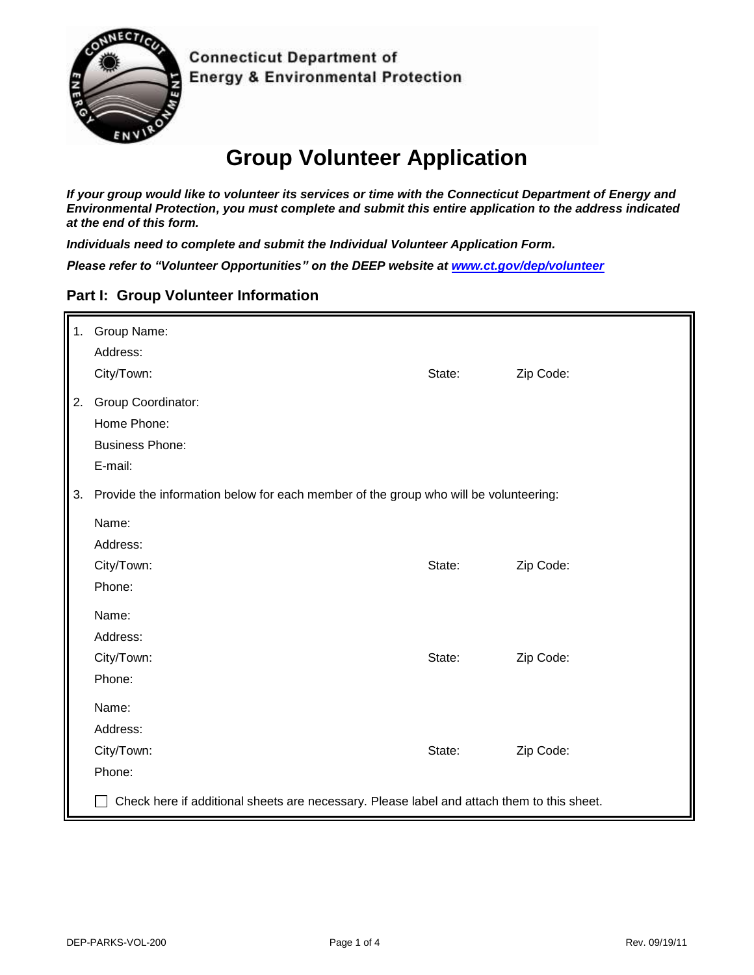

**Connecticut Department of Energy & Environmental Protection** 

# **Group Volunteer Application**

*If your group would like to volunteer its services or time with the Connecticut Department of Energy and Environmental Protection, you must complete and submit this entire application to the address indicated at the end of this form.* 

*Individuals need to complete and submit the Individual Volunteer Application Form.*

*Please refer to "Volunteer Opportunities" on the DEEP website at [www.ct.gov/dep/volunteer](http://www.ct.gov/dep/volunteer)*

#### **Part I: Group Volunteer Information**

| 1. | Group Name:                                                                                |        |           |  |  |
|----|--------------------------------------------------------------------------------------------|--------|-----------|--|--|
|    | Address:                                                                                   |        |           |  |  |
|    | City/Town:                                                                                 | State: | Zip Code: |  |  |
| 2. | Group Coordinator:                                                                         |        |           |  |  |
|    | Home Phone:                                                                                |        |           |  |  |
|    | <b>Business Phone:</b>                                                                     |        |           |  |  |
|    | E-mail:                                                                                    |        |           |  |  |
| 3. | Provide the information below for each member of the group who will be volunteering:       |        |           |  |  |
|    | Name:                                                                                      |        |           |  |  |
|    | Address:                                                                                   |        |           |  |  |
|    | City/Town:                                                                                 | State: | Zip Code: |  |  |
|    | Phone:                                                                                     |        |           |  |  |
|    | Name:                                                                                      |        |           |  |  |
|    | Address:                                                                                   |        |           |  |  |
|    | City/Town:                                                                                 | State: | Zip Code: |  |  |
|    | Phone:                                                                                     |        |           |  |  |
|    | Name:                                                                                      |        |           |  |  |
|    | Address:                                                                                   |        |           |  |  |
|    | City/Town:                                                                                 | State: | Zip Code: |  |  |
|    | Phone:                                                                                     |        |           |  |  |
|    | Check here if additional sheets are necessary. Please label and attach them to this sheet. |        |           |  |  |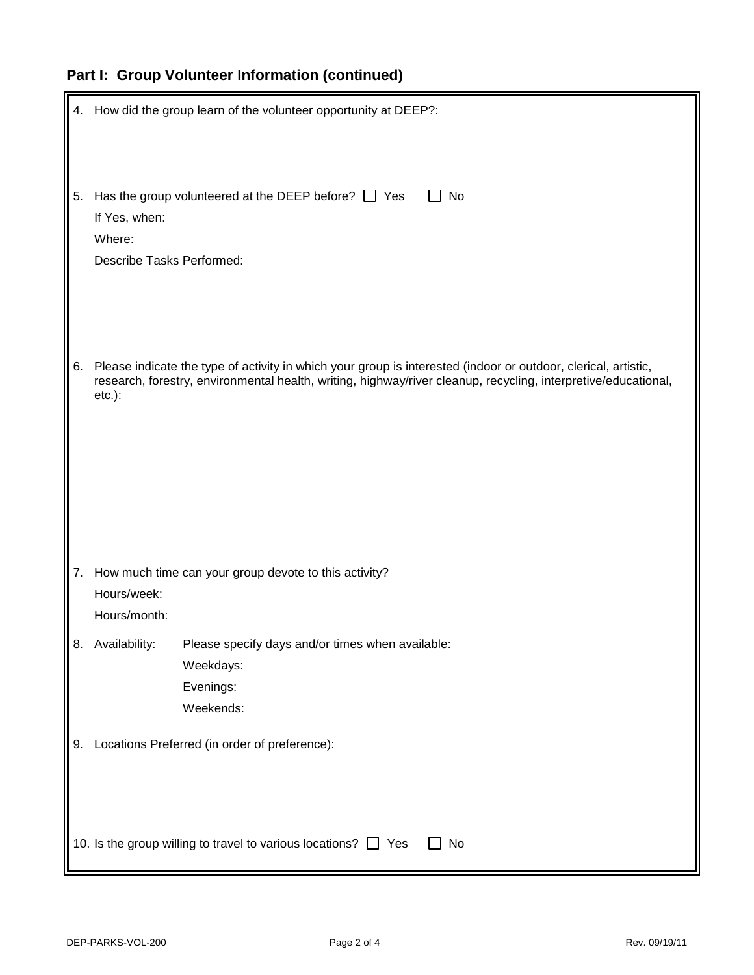## **Part I: Group Volunteer Information (continued)**

|    | 4. How did the group learn of the volunteer opportunity at DEEP?:                                                                                                                                                                             |  |  |  |  |
|----|-----------------------------------------------------------------------------------------------------------------------------------------------------------------------------------------------------------------------------------------------|--|--|--|--|
| 5. | Has the group volunteered at the DEEP before? $\Box$ Yes<br>No<br>If Yes, when:<br>Where:<br>Describe Tasks Performed:                                                                                                                        |  |  |  |  |
| 6. | Please indicate the type of activity in which your group is interested (indoor or outdoor, clerical, artistic,<br>research, forestry, environmental health, writing, highway/river cleanup, recycling, interpretive/educational,<br>$etc.$ ): |  |  |  |  |
| 7. | How much time can your group devote to this activity?<br>Hours/week:<br>Hours/month:                                                                                                                                                          |  |  |  |  |
| 8. | Availability:<br>Please specify days and/or times when available:<br>Weekdays:<br>Evenings:<br>Weekends:                                                                                                                                      |  |  |  |  |
| 9. | Locations Preferred (in order of preference):                                                                                                                                                                                                 |  |  |  |  |
|    | 10. Is the group willing to travel to various locations? $\Box$ Yes<br>No                                                                                                                                                                     |  |  |  |  |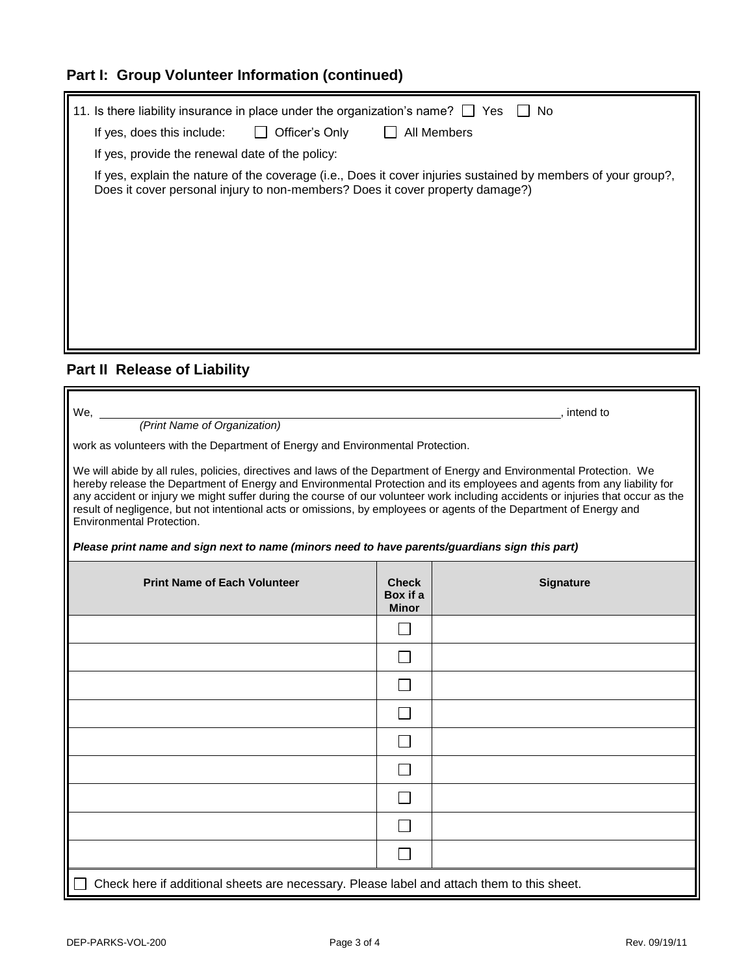### **Part I: Group Volunteer Information (continued)**

| 11. Is there liability insurance in place under the organization's name? $\Box$ Yes<br>No.                                                                                                     |  |  |  |  |  |
|------------------------------------------------------------------------------------------------------------------------------------------------------------------------------------------------|--|--|--|--|--|
| Officer's Only<br>All Members<br>If yes, does this include:<br>$\perp$                                                                                                                         |  |  |  |  |  |
| If yes, provide the renewal date of the policy:                                                                                                                                                |  |  |  |  |  |
| If yes, explain the nature of the coverage (i.e., Does it cover injuries sustained by members of your group?,<br>Does it cover personal injury to non-members? Does it cover property damage?) |  |  |  |  |  |
|                                                                                                                                                                                                |  |  |  |  |  |
|                                                                                                                                                                                                |  |  |  |  |  |

### **Part II Release of Liability**

| We, $\overline{\phantom{0}}$<br>, intend to<br>(Print Name of Organization)<br>work as volunteers with the Department of Energy and Environmental Protection.<br>We will abide by all rules, policies, directives and laws of the Department of Energy and Environmental Protection. We<br>hereby release the Department of Energy and Environmental Protection and its employees and agents from any liability for<br>any accident or injury we might suffer during the course of our volunteer work including accidents or injuries that occur as the<br>result of negligence, but not intentional acts or omissions, by employees or agents of the Department of Energy and |                                          |                  |  |  |  |  |
|--------------------------------------------------------------------------------------------------------------------------------------------------------------------------------------------------------------------------------------------------------------------------------------------------------------------------------------------------------------------------------------------------------------------------------------------------------------------------------------------------------------------------------------------------------------------------------------------------------------------------------------------------------------------------------|------------------------------------------|------------------|--|--|--|--|
| Environmental Protection.<br>Please print name and sign next to name (minors need to have parents/guardians sign this part)                                                                                                                                                                                                                                                                                                                                                                                                                                                                                                                                                    |                                          |                  |  |  |  |  |
|                                                                                                                                                                                                                                                                                                                                                                                                                                                                                                                                                                                                                                                                                |                                          |                  |  |  |  |  |
| <b>Print Name of Each Volunteer</b>                                                                                                                                                                                                                                                                                                                                                                                                                                                                                                                                                                                                                                            | <b>Check</b><br>Box if a<br><b>Minor</b> | <b>Signature</b> |  |  |  |  |
|                                                                                                                                                                                                                                                                                                                                                                                                                                                                                                                                                                                                                                                                                |                                          |                  |  |  |  |  |
|                                                                                                                                                                                                                                                                                                                                                                                                                                                                                                                                                                                                                                                                                |                                          |                  |  |  |  |  |
|                                                                                                                                                                                                                                                                                                                                                                                                                                                                                                                                                                                                                                                                                |                                          |                  |  |  |  |  |
|                                                                                                                                                                                                                                                                                                                                                                                                                                                                                                                                                                                                                                                                                |                                          |                  |  |  |  |  |
|                                                                                                                                                                                                                                                                                                                                                                                                                                                                                                                                                                                                                                                                                |                                          |                  |  |  |  |  |
|                                                                                                                                                                                                                                                                                                                                                                                                                                                                                                                                                                                                                                                                                |                                          |                  |  |  |  |  |
|                                                                                                                                                                                                                                                                                                                                                                                                                                                                                                                                                                                                                                                                                |                                          |                  |  |  |  |  |
|                                                                                                                                                                                                                                                                                                                                                                                                                                                                                                                                                                                                                                                                                |                                          |                  |  |  |  |  |
|                                                                                                                                                                                                                                                                                                                                                                                                                                                                                                                                                                                                                                                                                |                                          |                  |  |  |  |  |
| Check here if additional sheets are necessary. Please label and attach them to this sheet.                                                                                                                                                                                                                                                                                                                                                                                                                                                                                                                                                                                     |                                          |                  |  |  |  |  |